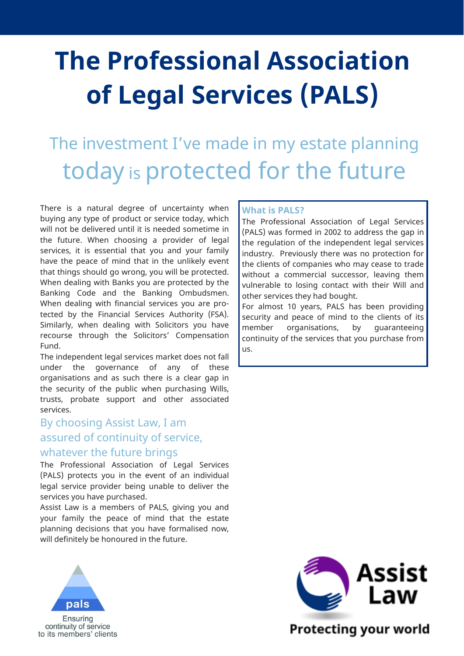# **The Professional Association of Legal Services (PALS)**

## The investment I've made in my estate planning today is protected for the future

There is a natural degree of uncertainty when buying any type of product or service today, which will not be delivered until it is needed sometime in the future. When choosing a provider of legal services, it is essential that you and your family have the peace of mind that in the unlikely event that things should go wrong, you will be protected. When dealing with Banks you are protected by the Banking Code and the Banking Ombudsmen. When dealing with financial services you are protected by the Financial Services Authority (FSA). Similarly, when dealing with Solicitors you have recourse through the Solicitors' Compensation Fund.

The independent legal services market does not fall under the governance of any of these organisations and as such there is a clear gap in the security of the public when purchasing Wills, trusts, probate support and other associated services.

### By choosing Assist Law, I am assured of continuity of service, whatever the future brings

The Professional Association of Legal Services (PALS) protects you in the event of an individual legal service provider being unable to deliver the services you have purchased.

Assist Law is a members of PALS, giving you and your family the peace of mind that the estate planning decisions that you have formalised now, will definitely be honoured in the future.



#### **What is PALS?**

The Professional Association of Legal Services (PALS) was formed in 2002 to address the gap in the regulation of the independent legal services industry. Previously there was no protection for the clients of companies who may cease to trade without a commercial successor, leaving them vulnerable to losing contact with their Will and other services they had bought.

For almost 10 years, PALS has been providing security and peace of mind to the clients of its member organisations, by guaranteeing continuity of the services that you purchase from us.



**Protecting your world**